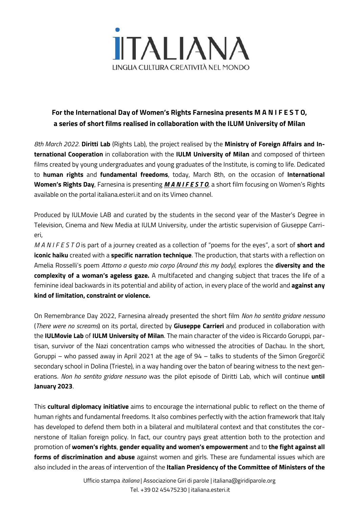

## **For the International Day of Women's Rights Farnesina presents M A N I F E S T O, a series of short films realised in collaboration with the ILUM University of Milan**

*8th March 2022*. **Diritti Lab** (Rights Lab), the project realised by the **Ministry of Foreign Affairs and International Cooperation** in collaboration with the **IULM University of Milan** and composed of thirteen films created by young undergraduates and young graduates of the Institute, is coming to life. Dedicated to **human rights** and **fundamental freedoms**, today, March 8th, on the occasion of **International Women's Rights Day**, Farnesina is presenting *M A N I F E S T O*, a short film focusing on Women's Rights available on the portal italiana.esteri.it and on its Vimeo channel.

Produced by IULMovie LAB and curated by the students in the second year of the Master's Degree in Television, Cinema and New Media at IULM University, under the artistic supervision of Giuseppe Carrieri,

*M A N I F E S T O* is part of a journey created as a collection of "poems for the eyes", a sort of **short and iconic haiku** created with a **specific narration technique**. The production, that starts with a reflection on Amelia Rosselli's poem *Attorno a questo mio corpo (Around this my body)*, explores the **diversity and the complexity of a woman's ageless gaze.** A multifaceted and changing subject that traces the life of a feminine ideal backwards in its potential and ability of action, in every place of the world and **against any kind of limitation, constraint or violence.**

On Remembrance Day 2022, Farnesina already presented the short film *Non ho sentito gridare nessuno* (*There were no screams*) on its portal, directed by **Giuseppe Carrieri** and produced in collaboration with the **IULMovie Lab** of **IULM University of Milan**. The main character of the video is Riccardo Goruppi, partisan, survivor of the Nazi concentration camps who witnessed the atrocities of Dachau. In the short, Goruppi – who passed away in April 2021 at the age of 94 – talks to students of the Simon Gregorčič secondary school in Dolina (Trieste), in a way handing over the baton of bearing witness to the next generations. *Non ho sentito gridare nessuno* was the pilot episode of Diritti Lab, which will continue **until January 2023**.

This **cultural diplomacy initiative** aims to encourage the international public to reflect on the theme of human rights and fundamental freedoms. It also combines perfectly with the action framework that Italy has developed to defend them both in a bilateral and multilateral context and that constitutes the cornerstone of Italian foreign policy. In fact, our country pays great attention both to the protection and promotion of **women's rights**, **gender equality and women's empowerment** and to **the fight against all forms of discrimination and abuse** against women and girls. These are fundamental issues which are also included in the areas of intervention of the **Italian Presidency of the Committee of Ministers of the**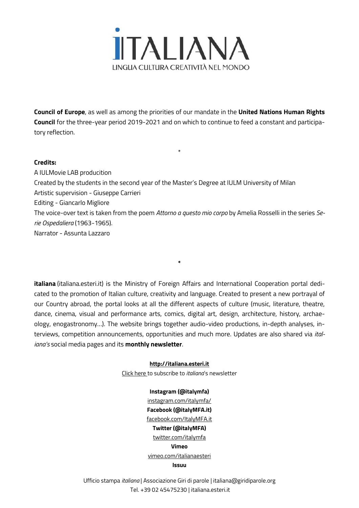

**Council of Europe**, as well as among the priorities of our mandate in the **United Nations Human Rights Council** for the three-year period 2019-2021 and on which to continue to feed a constant and participatory reflection.

\*

## **Credits:**

A IULMovie LAB producition Created by the students in the second year of the Master's Degree at IULM University of Milan Artistic supervision - Giuseppe Carrieri Editing - Giancarlo Migliore The voice-over text is taken from the poem *Attorno a questo mio corpo* by Amelia Rosselli in the series *Serie Ospedaliera* (1963-1965). Narrator - Assunta Lazzaro

**italiana** [\(italiana.esteri.it\)](http://italiana.esteri.it/) is the Ministry of Foreign Affairs and International Cooperation portal dedicated to the promotion of Italian culture, creativity and language. Created to present a new portrayal of our Country abroad, the portal looks at all the different aspects of culture (music, literature, theatre, dance, cinema, visual and performance arts, comics, digital art, design, architecture, history, archaeology, enogastronomy…). The website brings together audio-video productions, in-depth analyses, interviews, competition announcements, opportunities and much more. Updates are also shared via *italiana's* social media pages and its **monthly newsletter**.

**\***

## **[http://italiana.esteri.it](http://italiana.esteri.it/)**

[Click](http://a5a5e5.mailupclient.com/frontend/forms/Subscription.aspx?idList=1&idForm=1&guid=aafa5375-bcf1-4e06-965a-e3a98b626156) here to subscribe to *italiana*'s newsletter

## **Instagram (@italymfa)**

[instagram.com/italymfa/](https://www.instagram.com/italymfa/) **Facebook (@italyMFA.it)** [facebook.com/ItalyMFA.it](https://www.facebook.com/ItalyMFA.it) **Twitter (@italyMFA)** [twitter.com/italymfa](https://twitter.com/italymfa) **Vimeo** [vimeo.com/italianaesteri](https://vimeo.com/italianaesteri) **Issuu**

Ufficio stampa *italiana* | Associazione Giri di parole | italiana@giridiparole.org Tel. +39 02 45475230 | italiana.esteri.it